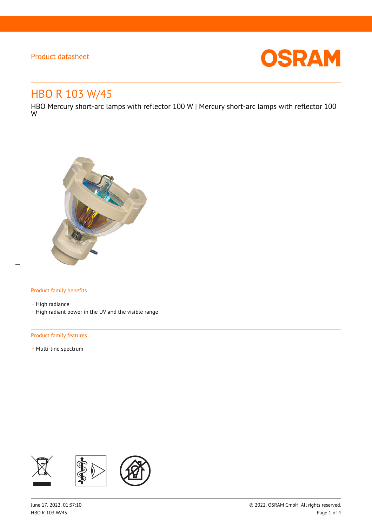

# HBO R 103 W/45

HBO Mercury short-arc lamps with reflector 100 W | Mercury short-arc lamps with reflector 100 W



## Product family benefits

- High radiance - High radiant power in the UV and the visible range

#### Product family features

- Multi-line spectrum

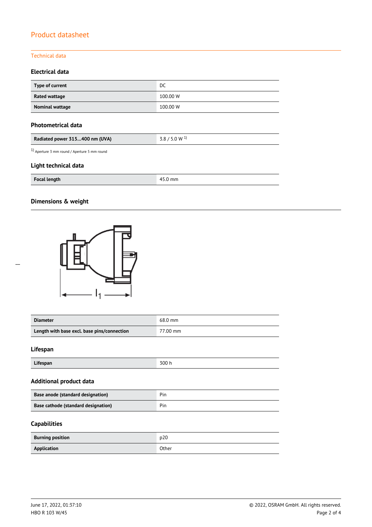## Technical data

# **Electrical data**

| Type of current | DC       |
|-----------------|----------|
| Rated wattage   | 100.00 W |
| Nominal wattage | 100.00 W |

## **Photometrical data**

| $3.8 / 5.0 W^{1}$ |
|-------------------|
|                   |

1) Aperture 3 mm round / Aperture 5 mm round

## **Light technical data**

| <b>Focal length</b> | mm |
|---------------------|----|
|                     |    |

# **Dimensions & weight**



| <b>Diameter</b>                             | 68.0 mm  |
|---------------------------------------------|----------|
| Length with base excl. base pins/connection | 77.00 mm |

## **Lifespan**

| Lifespan | 300<br>,,,,, |
|----------|--------------|

## **Additional product data**

| Base anode (standard designation)   | Pin |
|-------------------------------------|-----|
| Base cathode (standard designation) | Pin |

# **Capabilities**

| <b>Burning position</b> | D20   |
|-------------------------|-------|
| Application             | Other |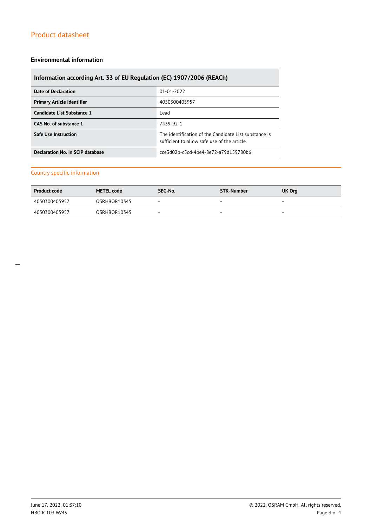#### **Environmental information**

# **Information according Art. 33 of EU Regulation (EC) 1907/2006 (REACh)**

| Date of Declaration               | 01-01-2022                                                                                           |
|-----------------------------------|------------------------------------------------------------------------------------------------------|
| <b>Primary Article Identifier</b> | 4050300405957                                                                                        |
| Candidate List Substance 1        | Lead                                                                                                 |
| CAS No. of substance 1            | 7439-92-1                                                                                            |
| <b>Safe Use Instruction</b>       | The identification of the Candidate List substance is<br>sufficient to allow safe use of the article |
| Declaration No. in SCIP database  | cce3d02b-c5cd-4be4-8e72-a79d159780b6                                                                 |

# Country specific information

| <b>Product code</b> | <b>METEL code</b> | SEG-No. | <b>STK-Number</b> | UK Org                   |
|---------------------|-------------------|---------|-------------------|--------------------------|
| 4050300405957       | OSRHBOR10345      |         | $\sim$            | $\overline{\phantom{a}}$ |
| 4050300405957       | OSRHBOR10345      |         |                   | $\overline{\phantom{a}}$ |